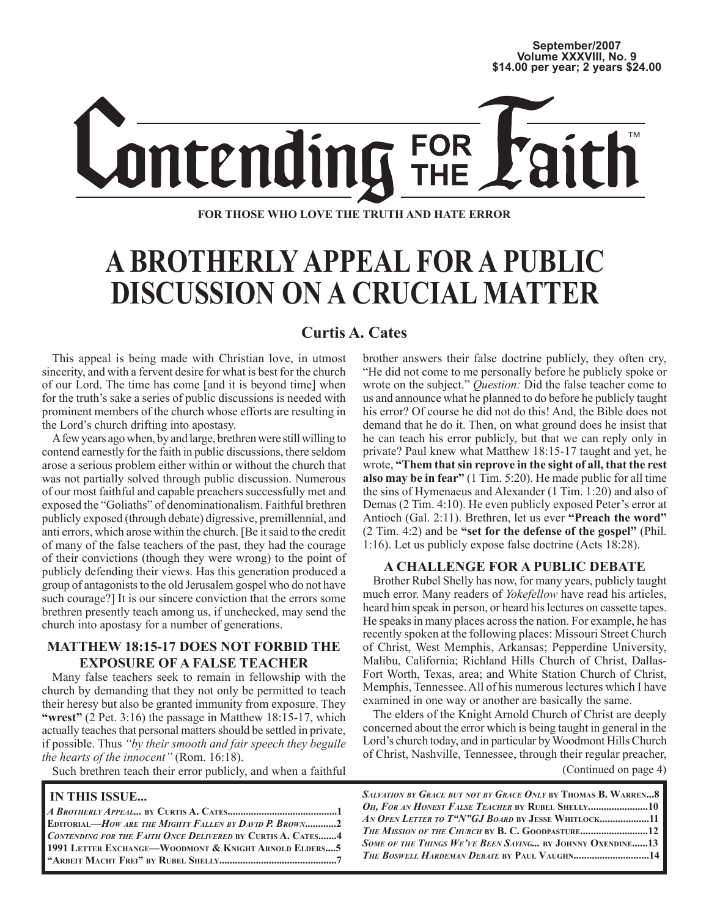

**FOR THOSE WHO LOVE THE TRUTH AND HATE ERROR**

# **A BROTHERLY APPEAL FOR A PUBLIC DISCUSSION ON A CRUCIAL MATTER**

### **Curtis A. Cates**

This appeal is being made with Christian love, in utmost sincerity, and with a fervent desire for what is best for the church of our Lord. The time has come [and it is beyond time] when for the truth's sake a series of public discussions is needed with prominent members of the church whose efforts are resulting in the Lord's church drifting into apostasy.

A few years ago when, by and large, brethren were still willing to contend earnestly for the faith in public discussions, there seldom arose a serious problem either within or without the church that was not partially solved through public discussion. Numerous of our most faithful and capable preachers successfully met and exposed the "Goliaths" of denominationalism. Faithful brethren publicly exposed (through debate) digressive, premillennial, and anti errors, which arose within the church. [Be it said to the credit of many of the false teachers of the past, they had the courage of their convictions (though they were wrong) to the point of publicly defending their views. Has this generation produced a group of antagonists to the old Jerusalem gospel who do not have such courage?] It is our sincere conviction that the errors some brethren presently teach among us, if unchecked, may send the church into apostasy for a number of generations.

#### **MATTHEW 18:15-17 DOES NOT FORBID THE EXPOSURE OF A FALSE TEACHER**

Many false teachers seek to remain in fellowship with the church by demanding that they not only be permitted to teach their heresy but also be granted immunity from exposure. They **"wrest"** (2 Pet. 3:16) the passage in Matthew 18:15-17, which actually teaches that personal matters should be settled in private, if possible. Thus *"by their smooth and fair speech they beguile the hearts of the innocent"* (Rom. 16:18).

Such brethren teach their error publicly, and when a faithful

#### **IN THIS ISSUE...**

| <b>EDITORIAL—HOW ARE THE MIGHTY FALLEN BY DAVID P. BROWN2</b> |  |
|---------------------------------------------------------------|--|
| CONTENDING FOR THE FAITH ONCE DELIVERED BY CURTIS A. CATES4   |  |
| 1991 LETTER EXCHANGE-WOODMONT & KNIGHT ARNOLD ELDERS 5        |  |
|                                                               |  |
|                                                               |  |

brother answers their false doctrine publicly, they often cry, "He did not come to me personally before he publicly spoke or wrote on the subject." *Question:* Did the false teacher come to us and announce what he planned to do before he publicly taught his error? Of course he did not do this! And, the Bible does not demand that he do it. Then, on what ground does he insist that he can teach his error publicly, but that we can reply only in private? Paul knew what Matthew 18:15-17 taught and yet, he wrote, **"Them that sin reprove in the sight of all, that the rest also may be in fear"** (1 Tim. 5:20). He made public for all time the sins of Hymenaeus and Alexander (1 Tim. 1:20) and also of Demas (2 Tim. 4:10). He even publicly exposed Peter's error at Antioch (Gal. 2:11). Brethren, let us ever **"Preach the word"** (2 Tim. 4:2) and be **"set for the defense of the gospel"** (Phil. 1:16). Let us publicly expose false doctrine (Acts 18:28).

#### **A CHALLENGE FOR A PUBLIC DEBATE**

Brother Rubel Shelly has now, for many years, publicly taught much error. Many readers of *Yokefellow* have read his articles, heard him speak in person, or heard his lectures on cassette tapes. He speaks in many places across the nation. For example, he has recently spoken at the following places: Missouri Street Church of Christ, West Memphis, Arkansas; Pepperdine University, Malibu, California; Richland Hills Church of Christ, Dallas-Fort Worth, Texas, area; and White Station Church of Christ, Memphis, Tennessee. All of his numerous lectures which I have examined in one way or another are basically the same.

The elders of the Knight Arnold Church of Christ are deeply concerned about the error which is being taught in general in the Lord's church today, and in particular by Woodmont Hills Church of Christ, Nashville, Tennessee, through their regular preacher, (Continued on page 4)

*SALVATION BY GRACE BUT NOT BY GRACE ONLY* **BY THOMAS B. WARREN...8** *OH, FOR AN HONEST FALSE TEACHER* **BY RUBEL SHELLY.......................10** *AN OPEN LETTER TO T"N"GJ BOARD* **BY JESSE WHITLOCK...................11**  *THE MISSION OF THE CHURCH* **BY B. C. GOODPASTURE..........................12** *SOME OF THE THINGS WE'VE BEEN SAYING...* **BY JOHNNY OXENDINE......13** *THE BOSWELL HARDEMAN DEBATE* **BY PAUL VAUGHN.............................14**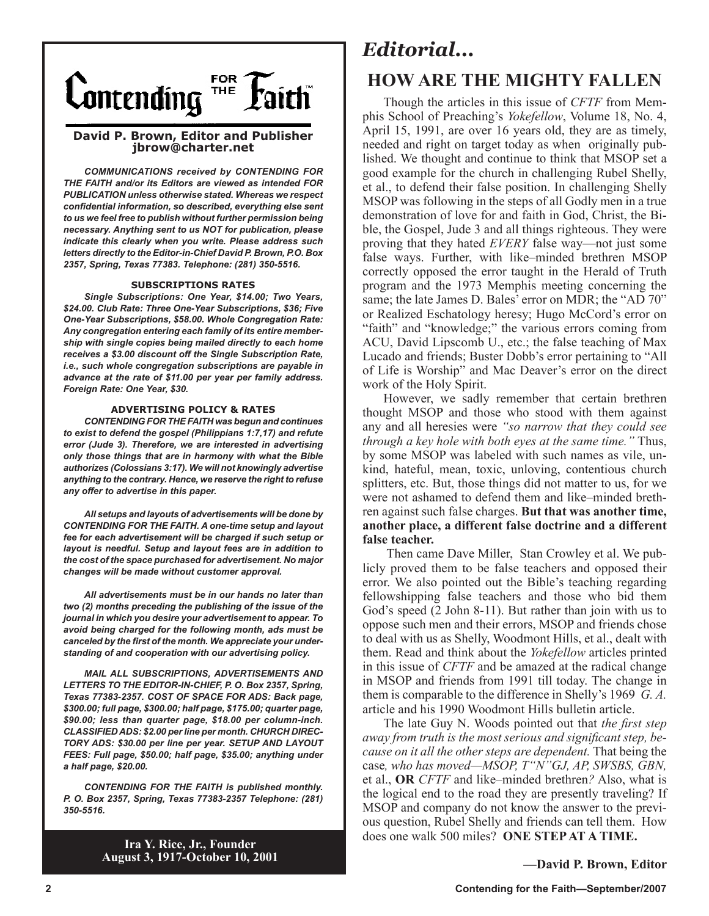

#### **David P. Brown, Editor and Publisher jbrow@charter.net**

*COMMUNICATIONS received by CONTENDING FOR THE FAITH and/or its Editors are viewed as intended FOR PUBLICATION unless otherwise stated. Whereas we respect confidential information, so described, everything else sent to us we feel free to publish without further permission being necessary. Anything sent to us NOT for publication, please indicate this clearly when you write. Please address such letters directly to the Editor-in-Chief David P. Brown, P.O. Box 2357, Spring, Texas 77383. Telephone: (281) 350-5516.*

#### **SUBSCRIPTIONS RATES**

*Single Subscriptions: One Year, \$14.00; Two Years, \$24.00. Club Rate: Three One-Year Subscriptions, \$36; Five One-Year Subscriptions, \$58.00. Whole Congregation Rate: Any congregation entering each family of its entire membership with single copies being mailed directly to each home receives a \$3.00 discount off the Single Subscription Rate, i.e., such whole congregation subscriptions are payable in advance at the rate of \$11.00 per year per family address. Foreign Rate: One Year, \$30.*

#### **ADVERTISING POLICY & RATES**

*CONTENDING FOR THE FAITH was begun and continues to exist to defend the gospel (Philippians 1:7,17) and refute error (Jude 3). Therefore, we are interested in advertising only those things that are in harmony with what the Bible authorizes (Colossians 3:17). We will not knowingly advertise anything to the contrary. Hence, we reserve the right to refuse any offer to advertise in this paper.*

*All setups and layouts of advertisements will be done by CONTENDING FOR THE FAITH. A one-time setup and layout fee for each advertisement will be charged if such setup or layout is needful. Setup and layout fees are in addition to the cost of the space purchased for advertisement. No major changes will be made without customer approval.*

*All advertisements must be in our hands no later than two (2) months preceding the publishing of the issue of the journal in which you desire your advertisement to appear. To avoid being charged for the following month, ads must be canceled by the first of the month. We appreciate your understanding of and cooperation with our advertising policy.*

*MAIL ALL SUBSCRIPTIONS, ADVERTISEMENTS AND LETTERS TO THE EDITOR-IN-CHIEF, P. O. Box 2357, Spring, Texas 77383-2357. COST OF SPACE FOR ADS: Back page, \$300.00; full page, \$300.00; half page, \$175.00; quarter page, \$90.00; less than quarter page, \$18.00 per column-inch. CLASSIFIED ADS: \$2.00 per line per month. CHURCH DIREC-TORY ADS: \$30.00 per line per year. SETUP AND LAYOUT FEES: Full page, \$50.00; half page, \$35.00; anything under a half page, \$20.00.*

*CONTENDING FOR THE FAITH is published monthly. P. O. Box 2357, Spring, Texas 77383-2357 Telephone: (281) 350-5516.*

> **Ira Y. Rice, Jr., Founder August 3, 1917-October 10, 2001**

### *Editorial...*

### **HOW ARE THE MIGHTY FALLEN**

Though the articles in this issue of *CFTF* from Memphis School of Preaching's *Yokefellow*, Volume 18, No. 4, April 15, 1991, are over 16 years old, they are as timely, needed and right on target today as when originally published. We thought and continue to think that MSOP set a good example for the church in challenging Rubel Shelly, et al., to defend their false position. In challenging Shelly MSOP was following in the steps of all Godly men in a true demonstration of love for and faith in God, Christ, the Bible, the Gospel, Jude 3 and all things righteous. They were proving that they hated *EVERY* false way—not just some false ways. Further, with like–minded brethren MSOP correctly opposed the error taught in the Herald of Truth program and the 1973 Memphis meeting concerning the same; the late James D. Bales' error on MDR; the "AD 70" or Realized Eschatology heresy; Hugo McCord's error on "faith" and "knowledge;" the various errors coming from ACU, David Lipscomb U., etc.; the false teaching of Max Lucado and friends; Buster Dobb's error pertaining to "All of Life is Worship" and Mac Deaver's error on the direct work of the Holy Spirit.

However, we sadly remember that certain brethren thought MSOP and those who stood with them against any and all heresies were *"so narrow that they could see through a key hole with both eyes at the same time."* Thus, by some MSOP was labeled with such names as vile, unkind, hateful, mean, toxic, unloving, contentious church splitters, etc. But, those things did not matter to us, for we were not ashamed to defend them and like–minded brethren against such false charges. **But that was another time, another place, a different false doctrine and a different false teacher.** 

 Then came Dave Miller, Stan Crowley et al. We publicly proved them to be false teachers and opposed their error. We also pointed out the Bible's teaching regarding fellowshipping false teachers and those who bid them God's speed (2 John 8-11). But rather than join with us to oppose such men and their errors, MSOP and friends chose to deal with us as Shelly, Woodmont Hills, et al., dealt with them. Read and think about the *Yokefellow* articles printed in this issue of *CFTF* and be amazed at the radical change in MSOP and friends from 1991 till today. The change in them is comparable to the difference in Shelly's 1969 *G. A.* article and his 1990 Woodmont Hills bulletin article.

The late Guy N. Woods pointed out that *the first step away from truth is the most serious and significant step, because on it all the other steps are dependent.* That being the case*, who has moved—MSOP, T"N"GJ, AP, SWSBS, GBN,*  et al., **OR** *CFTF* and like–minded brethren*?* Also, what is the logical end to the road they are presently traveling? If MSOP and company do not know the answer to the previous question, Rubel Shelly and friends can tell them. How does one walk 500 miles? **ONE STEP AT A TIME.**

**—David P. Brown, Editor**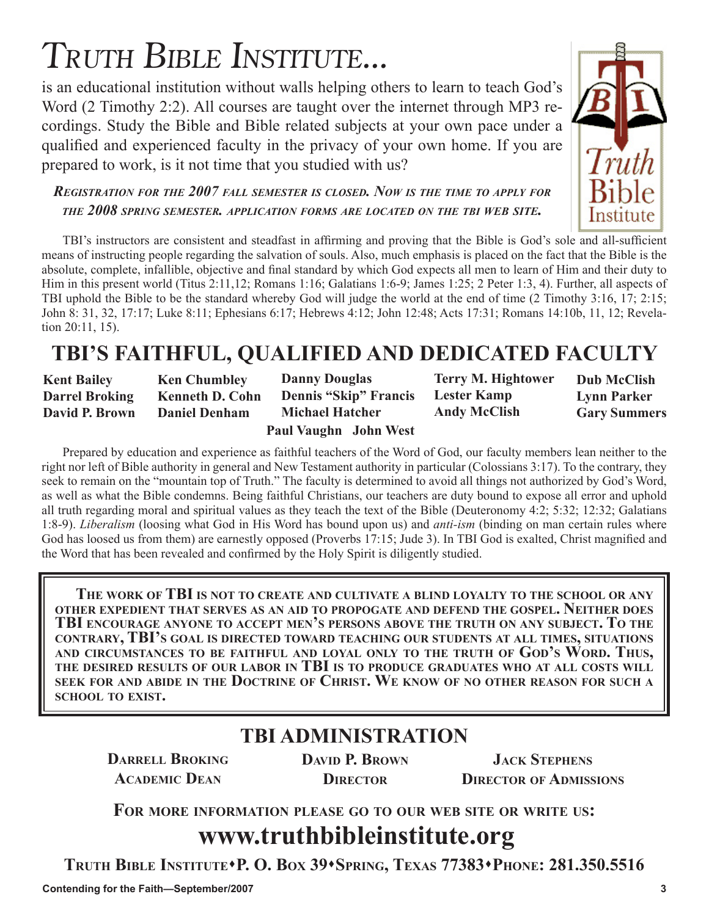# TRUTH BIBLE INSTITUTE...

is an educational institution without walls helping others to learn to teach God's Word (2 Timothy 2:2). All courses are taught over the internet through MP3 recordings. Study the Bible and Bible related subjects at your own pace under a qualified and experienced faculty in the privacy of your own home. If you are prepared to work, is it not time that you studied with us?

*REGISTRATION FOR THE 2007 FALL SEMESTER IS CLOSED. NOW IS THE TIME TO APPLY FOR THE 2008 SPRING SEMESTER. APPLICATION FORMS ARE LOCATED ON THE TBI WEB SITE.*

TBI's instructors are consistent and steadfast in affirming and proving that the Bible is God's sole and all-sufficient means of instructing people regarding the salvation of souls. Also, much emphasis is placed on the fact that the Bible is the absolute, complete, infallible, objective and final standard by which God expects all men to learn of Him and their duty to Him in this present world (Titus 2:11,12; Romans 1:16; Galatians 1:6-9; James 1:25; 2 Peter 1:3, 4). Further, all aspects of TBI uphold the Bible to be the standard whereby God will judge the world at the end of time (2 Timothy 3:16, 17; 2:15; John 8: 31, 32, 17:17; Luke 8:11; Ephesians 6:17; Hebrews 4:12; John 12:48; Acts 17:31; Romans 14:10b, 11, 12; Revelation 20:11, 15).

# **TBI'S FAITHFUL, QUALIFIED AND DEDICATED FACULTY**

**Kent Bailey Darrel Broking David P. Brown**

**Ken Chumbley Kenneth D. Cohn Daniel Denham**

**Danny Douglas Dennis "Skip" Francis Michael Hatcher**

**Terry M. Hightower Lester Kamp Andy McClish**

**Dub McClish Lynn Parker Gary Summers** 

#### **Paul Vaughn John West**

Prepared by education and experience as faithful teachers of the Word of God, our faculty members lean neither to the right nor left of Bible authority in general and New Testament authority in particular (Colossians 3:17). To the contrary, they seek to remain on the "mountain top of Truth." The faculty is determined to avoid all things not authorized by God's Word, as well as what the Bible condemns. Being faithful Christians, our teachers are duty bound to expose all error and uphold all truth regarding moral and spiritual values as they teach the text of the Bible (Deuteronomy 4:2; 5:32; 12:32; Galatians 1:8-9). *Liberalism* (loosing what God in His Word has bound upon us) and *anti-ism* (binding on man certain rules where God has loosed us from them) are earnestly opposed (Proverbs 17:15; Jude 3). In TBI God is exalted, Christ magnified and the Word that has been revealed and confirmed by the Holy Spirit is diligently studied.

**THE WORK OF TBI IS NOT TO CREATE AND CULTIVATE A BLIND LOYALTY TO THE SCHOOL OR ANY OTHER EXPEDIENT THAT SERVES AS AN AID TO PROPOGATE AND DEFEND THE GOSPEL. NEITHER DOES TBI ENCOURAGE ANYONE TO ACCEPT MEN'S PERSONS ABOVE THE TRUTH ON ANY SUBJECT. TO THE CONTRARY, TBI'S GOAL IS DIRECTED TOWARD TEACHING OUR STUDENTS AT ALL TIMES, SITUATIONS AND CIRCUMSTANCES TO BE FAITHFUL AND LOYAL ONLY TO THE TRUTH OF GOD'S WORD. THUS, THE DESIRED RESULTS OF OUR LABOR IN TBI IS TO PRODUCE GRADUATES WHO AT ALL COSTS WILL SEEK FOR AND ABIDE IN THE DOCTRINE OF CHRIST. WE KNOW OF NO OTHER REASON FOR SUCH A SCHOOL TO EXIST.**

### **TBI ADMINISTRATION**

**DARRELL BROKING ACADEMIC DEAN**

**DAVID P. BROWN DIRECTOR**

**JACK STEPHENS DIRECTOR OF ADMISSIONS**

**FOR MORE INFORMATION PLEASE GO TO OUR WEB SITE OR WRITE US:**

# **www.truthbibleinstitute.org**

**TRUTH BIBLE INSTITUTEP. O. BOX 39SPRING, TEXAS 77383PHONE: 281.350.5516**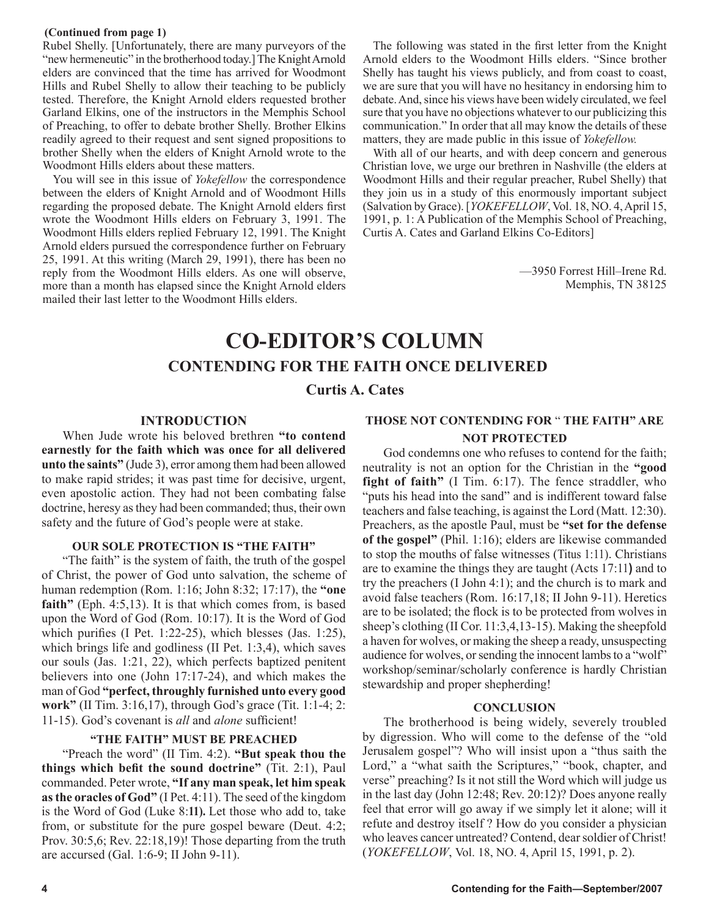#### **(Continued from page 1)**

Rubel Shelly. [Unfortunately, there are many purveyors of the "new hermeneutic" in the brotherhood today.] The Knight Arnold elders are convinced that the time has arrived for Woodmont Hills and Rubel Shelly to allow their teaching to be publicly tested. Therefore, the Knight Arnold elders requested brother Garland Elkins, one of the instructors in the Memphis School of Preaching, to offer to debate brother Shelly. Brother Elkins readily agreed to their request and sent signed propositions to brother Shelly when the elders of Knight Arnold wrote to the Woodmont Hills elders about these matters.

You will see in this issue of *Yokefellow* the correspondence between the elders of Knight Arnold and of Woodmont Hills regarding the proposed debate. The Knight Arnold elders first wrote the Woodmont Hills elders on February 3, 1991. The Woodmont Hills elders replied February 12, 1991. The Knight Arnold elders pursued the correspondence further on February 25, 1991. At this writing (March 29, 1991), there has been no reply from the Woodmont Hills elders. As one will observe, more than a month has elapsed since the Knight Arnold elders mailed their last letter to the Woodmont Hills elders.

The following was stated in the first letter from the Knight Arnold elders to the Woodmont Hills elders. "Since brother Shelly has taught his views publicly, and from coast to coast, we are sure that you will have no hesitancy in endorsing him to debate. And, since his views have been widely circulated, we feel sure that you have no objections whatever to our publicizing this communication." In order that all may know the details of these matters, they are made public in this issue of *Yokefellow.* 

With all of our hearts, and with deep concern and generous Christian love, we urge our brethren in Nashville (the elders at Woodmont Hills and their regular preacher, Rubel Shelly) that they join us in a study of this enormously important subject (Salvation by Grace). [*YOKEFELLOW*, Vol. 18, NO. 4, April 15, 1991, p. 1: A Publication of the Memphis School of Preaching, Curtis A. Cates and Garland Elkins Co-Editors]

> —3950 Forrest Hill–Irene Rd. Memphis, TN 38125

### **CO-EDITOR'S COLUMN CONTENDING FOR THE FAITH ONCE DELIVERED**

**Curtis A. Cates**

#### **INTRODUCTION**

When Jude wrote his beloved brethren **"to contend earnestly for the faith which was once for all delivered unto the saints"** (Jude 3), error among them had been allowed to make rapid strides; it was past time for decisive, urgent, even apostolic action. They had not been combating false doctrine, heresy as they had been commanded; thus, their own safety and the future of God's people were at stake.

#### **OUR SOLE PROTECTION IS "THE FAITH"**

"The faith" is the system of faith, the truth of the gospel of Christ, the power of God unto salvation, the scheme of human redemption (Rom. 1:16; John 8:32; 17:17), the **"one faith"** (Eph. 4:5,13). It is that which comes from, is based upon the Word of God (Rom. 10:17). It is the Word of God which purifies (I Pet. 1:22-25), which blesses (Jas. 1:25), which brings life and godliness (II Pet. 1:3,4), which saves our souls (Jas. 1:21, 22), which perfects baptized penitent believers into one (John 17:17-24), and which makes the man of God **"perfect, throughly furnished unto every good work"** (II Tim. 3:16,17), through God's grace (Tit. 1:1-4; 2: 11-15). God's covenant is *all* and *alone* sufficient!

#### **"THE FAITH" MUST BE PREACHED**

"Preach the word" (II Tim. 4:2). **"But speak thou the things which befit the sound doctrine"** (Tit. 2:1), Paul commanded. Peter wrote, **"If any man speak, let him speak as the oracles of God"** (I Pet. 4:11). The seed of the kingdom is the Word of God (Luke 8:**11).** Let those who add to, take from, or substitute for the pure gospel beware (Deut. 4:2; Prov. 30:5,6; Rev. 22:18,19)! Those departing from the truth are accursed (Gal. 1:6-9; II John 9-11).

#### **THOSE NOT CONTENDING FOR** " **THE FAITH" ARE NOT PROTECTED**

God condemns one who refuses to contend for the faith; neutrality is not an option for the Christian in the **"good fight of faith"** (I Tim. 6:17). The fence straddler, who "puts his head into the sand" and is indifferent toward false teachers and false teaching, is against the Lord (Matt. 12:30). Preachers, as the apostle Paul, must be **"set for the defense of the gospel"** (Phil. 1:16); elders are likewise commanded to stop the mouths of false witnesses (Titus 1:11). Christians are to examine the things they are taught (Acts 17:11**)** and to try the preachers (I John 4:1); and the church is to mark and avoid false teachers (Rom. 16:17,18; II John 9-11). Heretics are to be isolated; the flock is to be protected from wolves in sheep's clothing (II Cor. 11:3,4,13-15). Making the sheepfold a haven for wolves, or making the sheep a ready, unsuspecting audience for wolves, or sending the innocent lambs to a "wolf" workshop/seminar/scholarly conference is hardly Christian stewardship and proper shepherding!

#### **CONCLUSION**

The brotherhood is being widely, severely troubled by digression. Who will come to the defense of the "old Jerusalem gospel"? Who will insist upon a "thus saith the Lord," a "what saith the Scriptures," "book, chapter, and verse" preaching? Is it not still the Word which will judge us in the last day (John 12:48; Rev. 20:12)? Does anyone really feel that error will go away if we simply let it alone; will it refute and destroy itself ? How do you consider a physician who leaves cancer untreated? Contend, dear soldier of Christ! (*YOKEFELLOW*, Vol. 18, NO. 4, April 15, 1991, p. 2).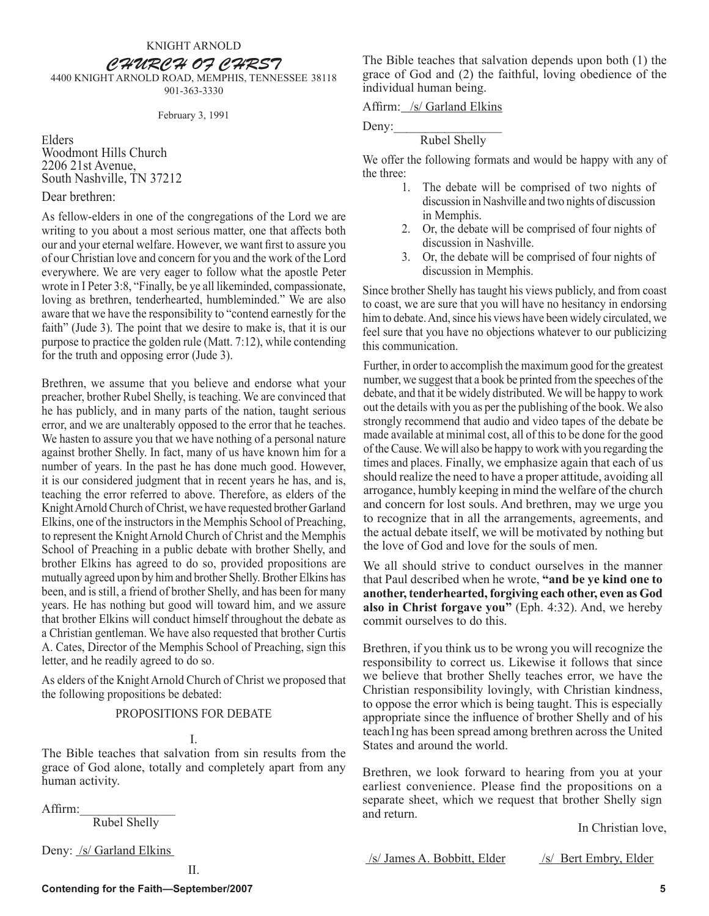CHURCH OF CHRST

4400 KNIGHT ARNOLD ROAD, MEMPHIS, TENNESSEE 38118 901-363-3330

#### February 3, 1991

Elders Woodmont Hills Church 2206 21st Avenue, South Nashville, TN 37212

#### Dear brethren:

As fellow-elders in one of the congregations of the Lord we are writing to you about a most serious matter, one that affects both our and your eternal welfare. However, we want first to assure you of our Christian love and concern for you and the work of the Lord everywhere. We are very eager to follow what the apostle Peter wrote in I Peter 3:8, "Finally, be ye all likeminded, compassionate, loving as brethren, tenderhearted, humbleminded." We are also aware that we have the responsibility to "contend earnestly for the faith" (Jude 3). The point that we desire to make is, that it is our purpose to practice the golden rule (Matt. 7:12), while contending for the truth and opposing error (Jude 3).

Brethren, we assume that you believe and endorse what your preacher, brother Rubel Shelly, is teaching. We are convinced that he has publicly, and in many parts of the nation, taught serious error, and we are unalterably opposed to the error that he teaches. We hasten to assure you that we have nothing of a personal nature against brother Shelly. In fact, many of us have known him for a number of years. In the past he has done much good. However, it is our considered judgment that in recent years he has, and is, teaching the error referred to above. Therefore, as elders of the Knight Arnold Church of Christ, we have requested brother Garland Elkins, one of the instructors in the Memphis School of Preaching, to represent the Knight Arnold Church of Christ and the Memphis School of Preaching in a public debate with brother Shelly, and brother Elkins has agreed to do so, provided propositions are mutually agreed upon by him and brother Shelly. Brother Elkins has been, and is still, a friend of brother Shelly, and has been for many years. He has nothing but good will toward him, and we assure that brother Elkins will conduct himself throughout the debate as a Christian gentleman. We have also requested that brother Curtis A. Cates, Director of the Memphis School of Preaching, sign this letter, and he readily agreed to do so.

As elders of the Knight Arnold Church of Christ we proposed that the following propositions be debated:

#### PROPOSITIONS FOR DEBATE

#### I.

The Bible teaches that salvation from sin results from the grace of God alone, totally and completely apart from any human activity.

Affirm:

Rubel Shelly

Deny: /s/ Garland Elkins

The Bible teaches that salvation depends upon both (1) the grace of God and (2) the faithful, loving obedience of the individual human being.

Affirm: /s/ Garland Elkins

Deny: $\_\_$ 

#### Rubel Shelly

We offer the following formats and would be happy with any of the three:

- 1. The debate will be comprised of two nights of discussion in Nashville and two nights of discussion in Memphis.
- 2. Or, the debate will be comprised of four nights of discussion in Nashville.
- 3. Or, the debate will be comprised of four nights of discussion in Memphis.

Since brother Shelly has taught his views publicly, and from coast to coast, we are sure that you will have no hesitancy in endorsing him to debate. And, since his views have been widely circulated, we feel sure that you have no objections whatever to our publicizing this communication.

Further, in order to accomplish the maximum good for the greatest number, we suggest that a book be printed from the speeches of the debate, and that it be widely distributed. We will be happy to work out the details with you as per the publishing of the book. We also strongly recommend that audio and video tapes of the debate be made available at minimal cost, all of this to be done for the good of the Cause. We will also be happy to work with you regarding the times and places. Finally, we emphasize again that each of us should realize the need to have a proper attitude, avoiding all arrogance, humbly keeping in mind the welfare of the church and concern for lost souls. And brethren, may we urge you to recognize that in all the arrangements, agreements, and the actual debate itself, we will be motivated by nothing but the love of God and love for the souls of men.

We all should strive to conduct ourselves in the manner that Paul described when he wrote, **"and be ye kind one to another, tenderhearted, forgiving each other, even as God also in Christ forgave you"** (Eph. 4:32). And, we hereby commit ourselves to do this.

Brethren, if you think us to be wrong you will recognize the responsibility to correct us. Likewise it follows that since we believe that brother Shelly teaches error, we have the Christian responsibility lovingly, with Christian kindness, to oppose the error which is being taught. This is especially appropriate since the influence of brother Shelly and of his teach1ng has been spread among brethren across the United States and around the world.

Brethren, we look forward to hearing from you at your earliest convenience. Please find the propositions on a separate sheet, which we request that brother Shelly sign and return.

In Christian love,

/s/ James A. Bobbitt, Elder /s/ Bert Embry, Elder

II.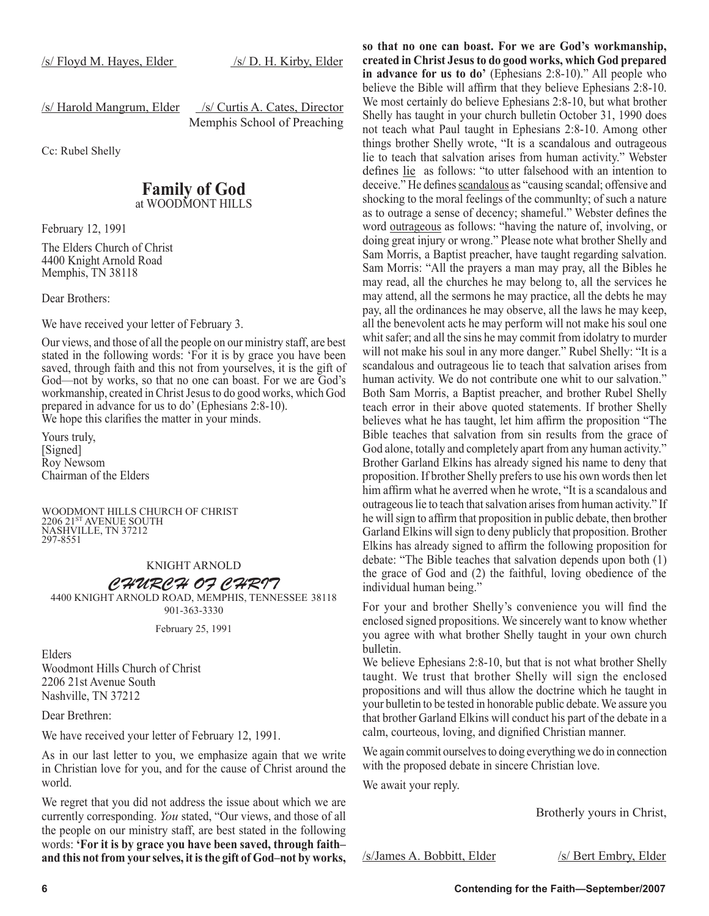/s/ Harold Mangrum, Elder /s/ Curtis A. Cates, Director

Memphis School of Preaching

Cc: Rubel Shelly

#### **Family of God** at WOODMONT HILLS

February 12, 1991

The Elders Church of Christ 4400 Knight Arnold Road Memphis, TN 38118

Dear Brothers:

We have received your letter of February 3.

Our views, and those of all the people on our ministry staff, are best stated in the following words: 'For it is by grace you have been saved, through faith and this not from yourselves, it is the gift of God—not by works, so that no one can boast. For we are God's workmanship, created in Christ Jesus to do good works, which God prepared in advance for us to do' (Ephesians 2:8-10). We hope this clarifies the matter in your minds.

Yours truly, [Signed] Roy Newsom Chairman of the Elders

 WOODMONT HILLS CHURCH OF CHRIST 2206 21ST AVENUE SOUTH NASHVILLE, TN 37212 297-8551

#### KNIGHT ARNOLD

#### CHURCH OF CHRIT

4400 KNIGHT ARNOLD ROAD, MEMPHIS, TENNESSEE 38118 901-363-3330

February 25, 1991

Elders Woodmont Hills Church of Christ 2206 21st Avenue South Nashville, TN 37212

Dear Brethren:

We have received your letter of February 12, 1991.

As in our last letter to you, we emphasize again that we write in Christian love for you, and for the cause of Christ around the world.

We regret that you did not address the issue about which we are currently corresponding. *You* stated, "Our views, and those of all the people on our ministry staff, are best stated in the following words: **'For it is by grace you have been saved, through faith– and this not from your selves, it is the gift of God–not by works,**  **so that no one can boast. For we are God's workmanship, created in Christ Jesus to do good works, which God prepared in advance for us to do'** (Ephesians 2:8-10)." All people who believe the Bible will affirm that they believe Ephesians 2:8-10. We most certainly do believe Ephesians 2:8-10, but what brother Shelly has taught in your church bulletin October 31, 1990 does not teach what Paul taught in Ephesians 2:8-10. Among other things brother Shelly wrote, "It is a scandalous and outrageous lie to teach that salvation arises from human activity." Webster defines lie as follows: "to utter falsehood with an intention to deceive." He defines scandalous as "causing scandal; offensive and shocking to the moral feelings of the communlty; of such a nature as to outrage a sense of decency; shameful." Webster defines the word outrageous as follows: "having the nature of, involving, or doing great injury or wrong." Please note what brother Shelly and Sam Morris, a Baptist preacher, have taught regarding salvation. Sam Morris: "All the prayers a man may pray, all the Bibles he may read, all the churches he may belong to, all the services he may attend, all the sermons he may practice, all the debts he may pay, all the ordinances he may observe, all the laws he may keep, all the benevolent acts he may perform will not make his soul one whit safer; and all the sins he may commit from idolatry to murder will not make his soul in any more danger." Rubel Shelly: "It is a scandalous and outrageous lie to teach that salvation arises from human activity. We do not contribute one whit to our salvation." Both Sam Morris, a Baptist preacher, and brother Rubel Shelly teach error in their above quoted statements. If brother Shelly believes what he has taught, let him affirm the proposition "The Bible teaches that salvation from sin results from the grace of God alone, totally and completely apart from any human activity." Brother Garland Elkins has already signed his name to deny that proposition. If brother Shelly prefers to use his own words then let him affirm what he averred when he wrote, "It is a scandalous and outrageous lie to teach that salvation arises from human activity." If he will sign to affirm that proposition in public debate, then brother Garland Elkins will sign to deny publicly that proposition. Brother Elkins has already signed to affirm the following proposition for debate: "The Bible teaches that salvation depends upon both (1) the grace of God and (2) the faithful, loving obedience of the individual human being."

For your and brother Shelly's convenience you will find the enclosed signed propositions. We sincerely want to know whether you agree with what brother Shelly taught in your own church bulletin.

We believe Ephesians 2:8-10, but that is not what brother Shelly taught. We trust that brother Shelly will sign the enclosed propositions and will thus allow the doctrine which he taught in your bulletin to be tested in honorable public debate. We assure you that brother Garland Elkins will conduct his part of the debate in a calm, courteous, loving, and dignified Christian manner.

We again commit ourselves to doing everything we do in connection with the proposed debate in sincere Christian love.

We await your reply.

Brotherly yours in Christ,

/s/James A. Bobbitt, Elder /s/ Bert Embry, Elder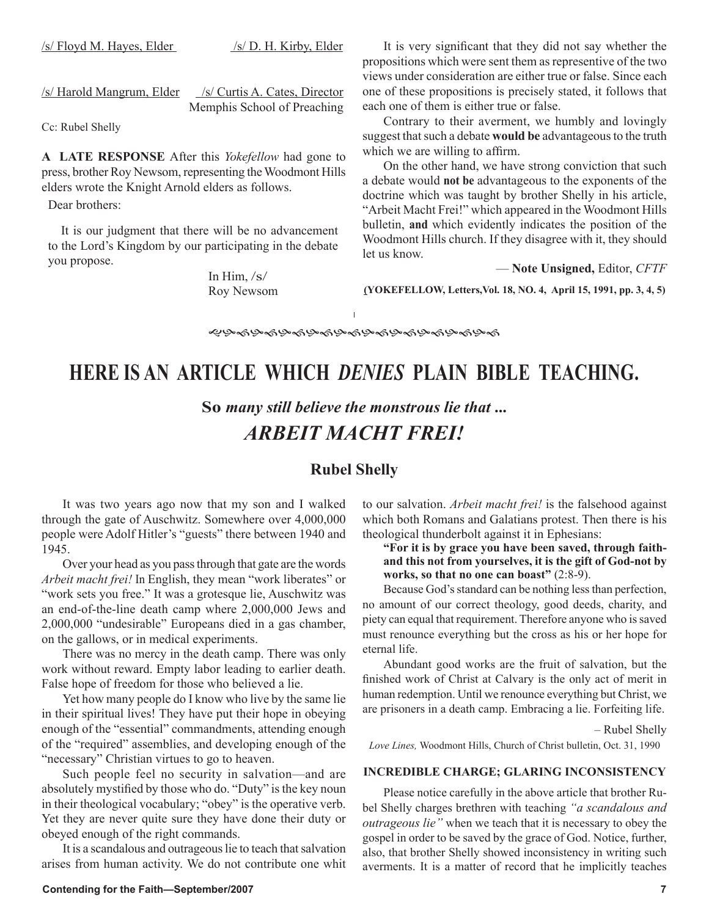$/s/$  Floyd M. Hayes, Elder  $/s/$  D. H. Kirby, Elder

/s/ Harold Mangrum, Elder /s/ Curtis A. Cates, Director

Memphis School of Preaching

Cc: Rubel Shelly

**A LATE RESPONSE** After this *Yokefellow* had gone to press, brother Roy Newsom, representing the Woodmont Hills elders wrote the Knight Arnold elders as follows.

Dear brothers:

It is our judgment that there will be no advancement to the Lord's Kingdom by our participating in the debate you propose.

> In Him, /s/ Roy Newsom

It is very significant that they did not say whether the propositions which were sent them as representive of the two views under consideration are either true or false. Since each one of these propositions is precisely stated, it follows that each one of them is either true or false.

Contrary to their averment, we humbly and lovingly suggest that such a debate **would be** advantageous to the truth which we are willing to affirm.

On the other hand, we have strong conviction that such a debate would **not be** advantageous to the exponents of the doctrine which was taught by brother Shelly in his article, "Arbeit Macht Frei!" which appeared in the Woodmont Hills bulletin, **and** which evidently indicates the position of the Woodmont Hills church. If they disagree with it, they should let us know.

— **Note Unsigned,** Editor, *CFTF*

**(YOKEFELLOW, Letters,Vol. 18, NO. 4, April 15, 1991, pp. 3, 4, 5)**

**֎֍֍֍֍֍֍֍֍֍֍֍֍֍֍֍֍֍֍֍֍** 

### **HERE IS AN ARTICLE WHICH** *DENIES* **PLAIN BIBLE TEACHING.**

**So** *many still believe the monstrous lie that* **...** *ARBEIT MACHT FREI!*

### **Rubel Shelly**

It was two years ago now that my son and I walked through the gate of Auschwitz. Somewhere over 4,000,000 people were Adolf Hitler's "guests" there between 1940 and 1945.

Over your head as you pass through that gate are the words *Arbeit macht frei!* In English, they mean "work liberates" or "work sets you free." It was a grotesque lie, Auschwitz was an end-of-the-line death camp where 2,000,000 Jews and 2,000,000 "undesirable" Europeans died in a gas chamber, on the gallows, or in medical experiments.

There was no mercy in the death camp. There was only work without reward. Empty labor leading to earlier death. False hope of freedom for those who believed a lie.

Yet how many people do I know who live by the same lie in their spiritual lives! They have put their hope in obeying enough of the "essential" commandments, attending enough of the "required" assemblies, and developing enough of the "necessary" Christian virtues to go to heaven.

Such people feel no security in salvation—and are absolutely mystified by those who do. "Duty" is the key noun in their theological vocabulary; "obey" is the operative verb. Yet they are never quite sure they have done their duty or obeyed enough of the right commands.

It is a scandalous and outrageous lie to teach that salvation arises from human activity. We do not contribute one whit to our salvation. *Arbeit macht frei!* is the falsehood against which both Romans and Galatians protest. Then there is his theological thunderbolt against it in Ephesians:

#### **"For it is by grace you have been saved, through faithand this not from yourselves, it is the gift of God-not by works, so that no one can boast"** (2:8-9).

Because God's standard can be nothing less than perfection, no amount of our correct theology, good deeds, charity, and piety can equal that requirement. Therefore anyone who is saved must renounce everything but the cross as his or her hope for eternal life.

Abundant good works are the fruit of salvation, but the finished work of Christ at Calvary is the only act of merit in human redemption. Until we renounce everything but Christ, we are prisoners in a death camp. Embracing a lie. Forfeiting life.

– Rubel Shelly

*Love Lines,* Woodmont Hills, Church of Christ bulletin, Oct. 31, 1990

#### **INCREDIBLE CHARGE; GLARING INCONSISTENCY**

Please notice carefully in the above article that brother Rubel Shelly charges brethren with teaching *"a scandalous and outrageous lie"* when we teach that it is necessary to obey the gospel in order to be saved by the grace of God. Notice, further, also, that brother Shelly showed inconsistency in writing such averments. It is a matter of record that he implicitly teaches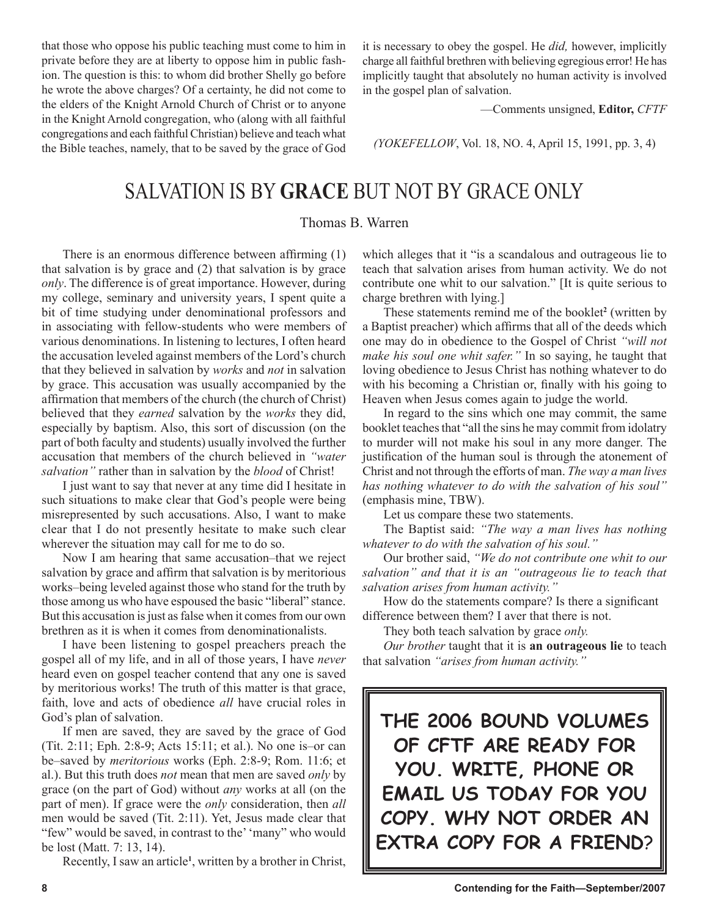that those who oppose his public teaching must come to him in private before they are at liberty to oppose him in public fashion. The question is this: to whom did brother Shelly go before he wrote the above charges? Of a certainty, he did not come to the elders of the Knight Arnold Church of Christ or to anyone in the Knight Arnold congregation, who (along with all faithful congregations and each faithful Christian) believe and teach what the Bible teaches, namely, that to be saved by the grace of God it is necessary to obey the gospel. He *did,* however, implicitly charge all faithful brethren with believing egregious error! He has implicitly taught that absolutely no human activity is involved in the gospel plan of salvation.

—Comments unsigned, **Editor,** *CFTF*

*(YOKEFELLOW*, Vol. 18, NO. 4, April 15, 1991, pp. 3, 4)

### SALVATION IS BY **GRACE** BUT NOT BY GRACE ONLY

#### Thomas B. Warren

There is an enormous difference between affirming (1) that salvation is by grace and (2) that salvation is by grace *only*. The difference is of great importance. However, during my college, seminary and university years, I spent quite a bit of time studying under denominational professors and in associating with fellow-students who were members of various denominations. In listening to lectures, I often heard the accusation leveled against members of the Lord's church that they believed in salvation by *works* and *not* in salvation by grace. This accusation was usually accompanied by the affirmation that members of the church (the church of Christ) believed that they *earned* salvation by the *works* they did, especially by baptism. Also, this sort of discussion (on the part of both faculty and students) usually involved the further accusation that members of the church believed in *"water salvation"* rather than in salvation by the *blood* of Christ!

I just want to say that never at any time did I hesitate in such situations to make clear that God's people were being misrepresented by such accusations. Also, I want to make clear that I do not presently hesitate to make such clear wherever the situation may call for me to do so.

Now I am hearing that same accusation–that we reject salvation by grace and affirm that salvation is by meritorious works–being leveled against those who stand for the truth by those among us who have espoused the basic "liberal" stance. But this accusation is just as false when it comes from our own brethren as it is when it comes from denominationalists.

I have been listening to gospel preachers preach the gospel all of my life, and in all of those years, I have *never*  heard even on gospel teacher contend that any one is saved by meritorious works! The truth of this matter is that grace, faith, love and acts of obedience *all* have crucial roles in God's plan of salvation.

If men are saved, they are saved by the grace of God (Tit. 2:11; Eph. 2:8-9; Acts 15:11; et al.). No one is–or can be–saved by *meritorious* works (Eph. 2:8-9; Rom. 11:6; et al.). But this truth does *not* mean that men are saved *only* by grace (on the part of God) without *any* works at all (on the part of men). If grace were the *only* consideration, then *all* men would be saved (Tit. 2:11). Yet, Jesus made clear that "few" would be saved, in contrast to the' 'many" who would be lost (Matt. 7: 13, 14).

Recently, I saw an article**<sup>1</sup>** , written by a brother in Christ,

which alleges that it "is a scandalous and outrageous lie to teach that salvation arises from human activity. We do not contribute one whit to our salvation." [It is quite serious to charge brethren with lying.]

These statements remind me of the booklet**<sup>2</sup>** (written by a Baptist preacher) which affirms that all of the deeds which one may do in obedience to the Gospel of Christ *"will not make his soul one whit safer."* In so saying, he taught that loving obedience to Jesus Christ has nothing whatever to do with his becoming a Christian or, finally with his going to Heaven when Jesus comes again to judge the world.

In regard to the sins which one may commit, the same booklet teaches that "all the sins he may commit from idolatry to murder will not make his soul in any more danger. The justification of the human soul is through the atonement of Christ and not through the efforts of man. *The way a man lives has nothing whatever to do with the salvation of his soul"* (emphasis mine, TBW).

Let us compare these two statements.

The Baptist said: *"The way a man lives has nothing whatever to do with the salvation of his soul."* 

Our brother said, *"We do not contribute one whit to our salvation" and that it is an "outrageous lie to teach that salvation arises from human activity."* 

How do the statements compare? Is there a significant difference between them? I aver that there is not.

They both teach salvation by grace *only.* 

*Our brother* taught that it is **an outrageous lie** to teach that salvation *"arises from human activity."* 

**THE 2006 BOUND VOLUMES OF CFTF ARE READY FOR YOU. WRITE, PHONE OR EMAIL US TODAY FOR YOU COPY. WHY NOT ORDER AN EXTRA COPY FOR A FRIEND**?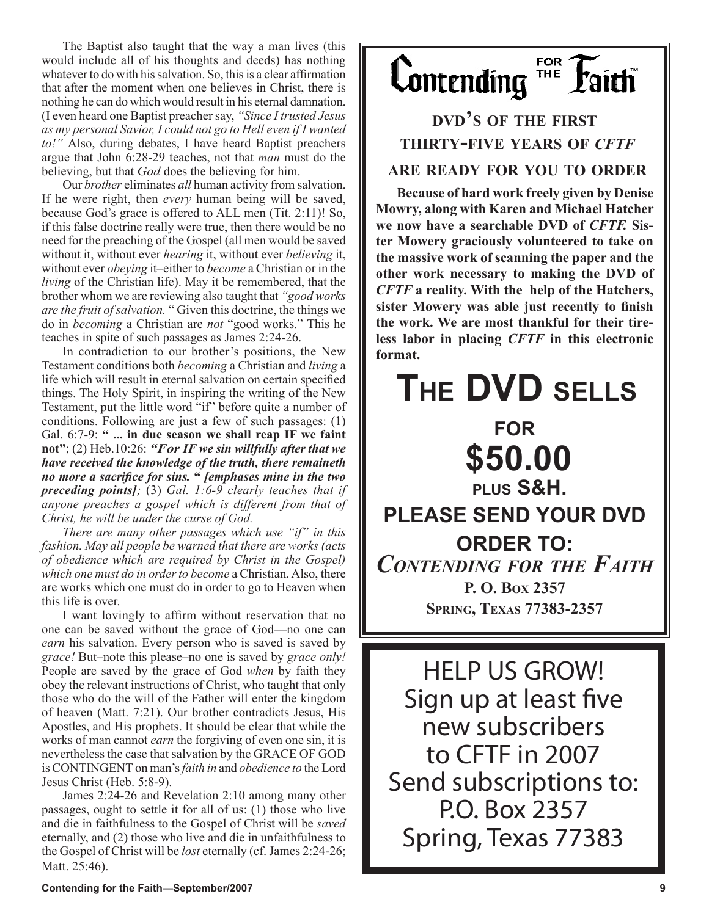The Baptist also taught that the way a man lives (this would include all of his thoughts and deeds) has nothing whatever to do with his salvation. So, this is a clear affirmation that after the moment when one believes in Christ, there is nothing he can do which would result in his eternal damnation. (I even heard one Baptist preacher say, *"Since I trusted Jesus as my personal Savior, I could not go to Hell even if I wanted to!"* Also, during debates, I have heard Baptist preachers argue that John 6:28-29 teaches, not that *man* must do the believing, but that *God* does the believing for him.

Our *brother* eliminates *all* human activity from salvation. If he were right, then *every* human being will be saved, because God's grace is offered to ALL men (Tit. 2:11)! So, if this false doctrine really were true, then there would be no need for the preaching of the Gospel (all men would be saved without it, without ever *hearing* it, without ever *believing* it, without ever *obeying* it–either to *become* a Christian or in the *living* of the Christian life). May it be remembered, that the brother whom we are reviewing also taught that *"good works are the fruit of salvation.* " Given this doctrine, the things we do in *becoming* a Christian are *not* "good works." This he teaches in spite of such passages as James 2:24-26.

In contradiction to our brother's positions, the New Testament conditions both *becoming* a Christian and *living* a life which will result in eternal salvation on certain specified things. The Holy Spirit, in inspiring the writing of the New Testament, put the little word "if" before quite a number of conditions. Following are just a few of such passages: (1) Gal. 6:7-9: **" ... in due season we shall reap IF we faint not"**; (2) Heb.10:26: *"For IF we sin willfully after that we have received the knowledge of the truth, there remaineth no more a sacrifice for sins.* **"** *[emphases mine in the two preceding points];* (3) *Gal. 1:6-9 clearly teaches that if anyone preaches a gospel which is different from that of Christ, he will be under the curse of God.* 

*There are many other passages which use "if" in this fashion. May all people be warned that there are works (acts of obedience which are required by Christ in the Gospel) which one must do in order to become* a Christian. Also, there are works which one must do in order to go to Heaven when this life is over.

I want lovingly to affirm without reservation that no one can be saved without the grace of God—no one can *earn* his salvation. Every person who is saved is saved by *grace!* But–note this please–no one is saved by *grace only!*  People are saved by the grace of God *when* by faith they obey the relevant instructions of Christ, who taught that only those who do the will of the Father will enter the kingdom of heaven (Matt. 7:21). Our brother contradicts Jesus, His Apostles, and His prophets. It should be clear that while the works of man cannot *earn* the forgiving of even one sin, it is nevertheless the case that salvation by the GRACE OF GOD is CONTINGENT on man's *faith in* and *obedience to* the Lord Jesus Christ (Heb. 5:8-9).

James 2:24-26 and Revelation 2:10 among many other passages, ought to settle it for all of us: (1) those who live and die in faithfulness to the Gospel of Christ will be *saved*  eternally, and (2) those who live and die in unfaithfulness to the Gospel of Christ will be *lost* eternally (cf. James 2:24-26; Matt. 25:46).

FOR  $\mathbf{L}$ ontending  $\overline{\mathbf{L}}$ **Paith** 

**DVD'S OF THE FIRST THIRTY-FIVE YEARS OF** *CFTF* **ARE READY FOR YOU TO ORDER**

**Because of hard work freely given by Denise Mowry, along with Karen and Michael Hatcher we now have a searchable DVD of** *CFTF.* **Sister Mowery graciously volunteered to take on the massive work of scanning the paper and the other work necessary to making the DVD of**  *CFTF* **a reality. With the help of the Hatchers, sister Mowery was able just recently to finish the work. We are most thankful for their tireless labor in placing** *CFTF* **in this electronic format.**

# **THE DVD SELLS FOR \$50.00 PLUS S&H. PLEASE SEND YOUR DVD ORDER TO:** *CONTENDING FOR THE FAITH* **P. O. BOX 2357 SPRING, TEXAS 77383-2357**

HELP US GROW! Sign up at least five new subscribers to CFTF in 2007 Send subscriptions to: P.O. Box 2357 Spring, Texas 77383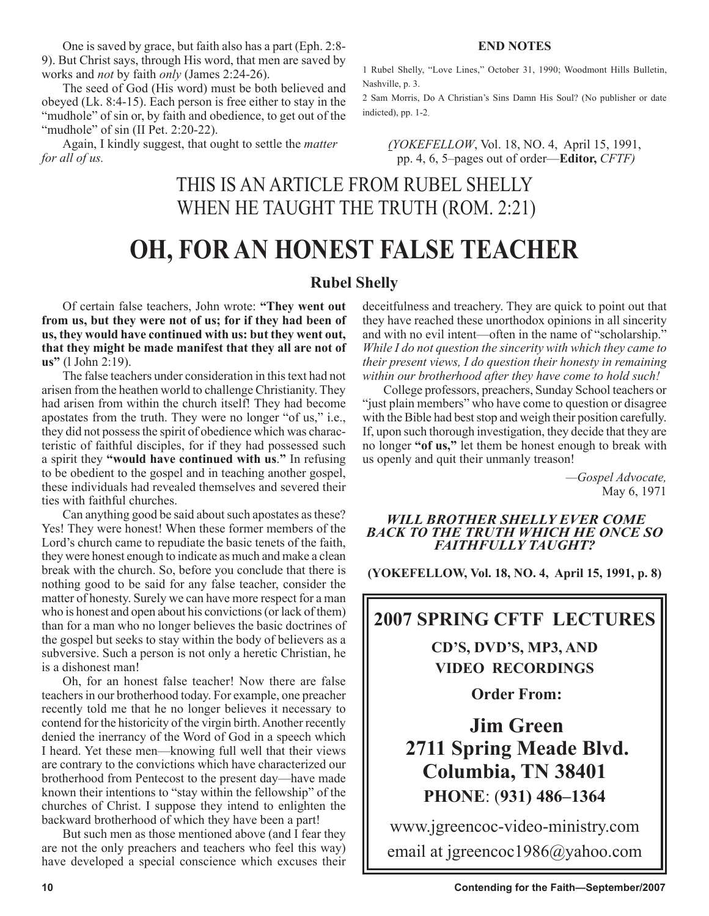One is saved by grace, but faith also has a part (Eph. 2:8- 9). But Christ says, through His word, that men are saved by works and *not* by faith *only* (James 2:24-26).

The seed of God (His word) must be both believed and obeyed (Lk. 8:4-15). Each person is free either to stay in the "mudhole" of sin or, by faith and obedience, to get out of the "mudhole" of sin (II Pet. 2:20-22).

Again, I kindly suggest, that ought to settle the *matter for all of us.* 

**END NOTES**

1 Rubel Shelly, "Love Lines," October 31, 1990; Woodmont Hills Bulletin, Nashville, p. 3.

2 Sam Morris, Do A Christian's Sins Damn His Soul? (No publisher or date indicted), pp. 1-2.

*(YOKEFELLOW*, Vol. 18, NO. 4, April 15, 1991, pp. 4, 6, 5–pages out of order—**Editor,** *CFTF)*

### THIS IS AN ARTICLE FROM RUBEL SHELLY WHEN HE TAUGHT THE TRUTH (ROM. 2:21)

# **OH, FOR AN HONEST FALSE TEACHER**

### **Rubel Shelly**

Of certain false teachers, John wrote: **"They went out from us, but they were not of us; for if they had been of us, they would have continued with us: but they went out, that they might be made manifest that they all are not of us"** (l John 2:19).

The false teachers under consideration in this text had not arisen from the heathen world to challenge Christianity. They had arisen from within the church itself! They had become apostates from the truth. They were no longer "of us," i.e., they did not possess the spirit of obedience which was characteristic of faithful disciples, for if they had possessed such a spirit they **"would have continued with us**.**"** In refusing to be obedient to the gospel and in teaching another gospel, these individuals had revealed themselves and severed their ties with faithful churches.

Can anything good be said about such apostates as these? Yes! They were honest! When these former members of the Lord's church came to repudiate the basic tenets of the faith, they were honest enough to indicate as much and make a clean break with the church. So, before you conclude that there is nothing good to be said for any false teacher, consider the matter of honesty. Surely we can have more respect for a man who is honest and open about his convictions (or lack of them) than for a man who no longer believes the basic doctrines of the gospel but seeks to stay within the body of believers as a subversive. Such a person is not only a heretic Christian, he is a dishonest man!

Oh, for an honest false teacher! Now there are false teachers in our brotherhood today. For example, one preacher recently told me that he no longer believes it necessary to contend for the historicity of the virgin birth. Another recently denied the inerrancy of the Word of God in a speech which I heard. Yet these men—knowing full well that their views are contrary to the convictions which have characterized our brotherhood from Pentecost to the present day—have made known their intentions to "stay within the fellowship" of the churches of Christ. I suppose they intend to enlighten the backward brotherhood of which they have been a part!

But such men as those mentioned above (and I fear they are not the only preachers and teachers who feel this way) have developed a special conscience which excuses their deceitfulness and treachery. They are quick to point out that they have reached these unorthodox opinions in all sincerity and with no evil intent—often in the name of "scholarship." *While I do not question the sincerity with which they came to their present views, I do question their honesty in remaining within our brotherhood after they have come to hold such!* 

College professors, preachers, Sunday School teachers or "just plain members" who have come to question or disagree with the Bible had best stop and weigh their position carefully. If, upon such thorough investigation, they decide that they are no longer **"of us,"** let them be honest enough to break with us openly and quit their unmanly treason!

> *—Gospel Advocate,*  May 6, 1971

#### *WILL BROTHER SHELLY EVER COME BACK TO THE TRUTH WHICH HE ONCE SO FAITHFULLY TAUGHT?*

**(YOKEFELLOW, Vol. 18, NO. 4, April 15, 1991, p. 8)**

### **2007 SPRING CFTF LECTURES**

**CD'S, DVD'S, MP3, AND VIDEO RECORDINGS** 

**Order From:**

**Jim Green 2711 Spring Meade Blvd. Columbia, TN 38401 PHONE**: (**931) 486–1364**

www.jgreencoc-video-ministry.com email at jgreencoc1986@yahoo.com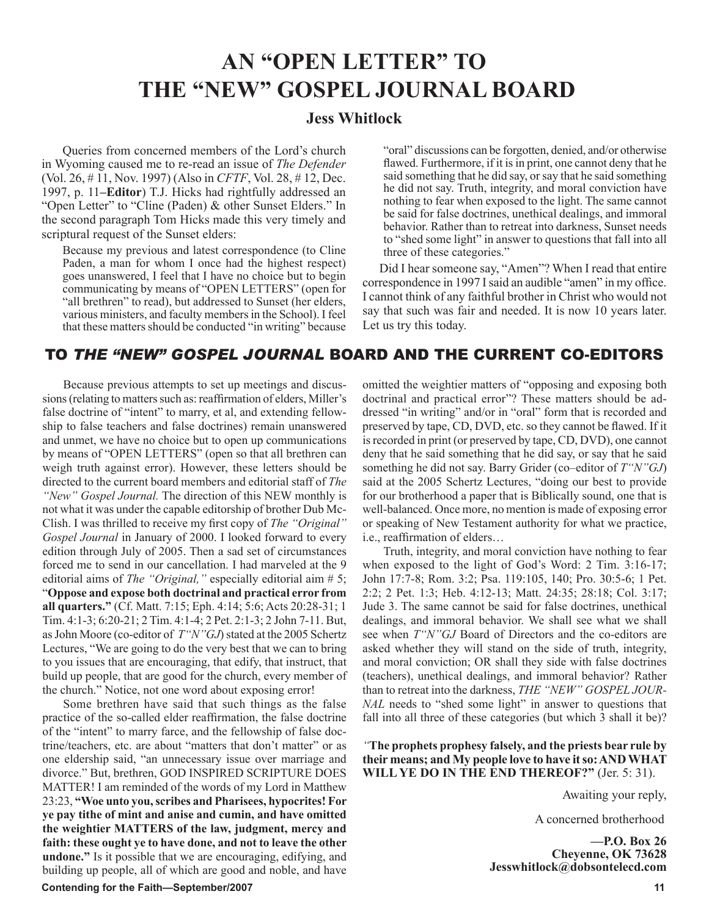## **AN "OPEN LETTER" TO THE "NEW" GOSPEL JOURNAL BOARD**

#### **Jess Whitlock**

Queries from concerned members of the Lord's church in Wyoming caused me to re-read an issue of *The Defender*  (Vol. 26, # 11, Nov. 1997) (Also in *CFTF*, Vol. 28, # 12, Dec. 1997, p. 11**–Editor**) T.J. Hicks had rightfully addressed an "Open Letter" to "Cline (Paden) & other Sunset Elders." In the second paragraph Tom Hicks made this very timely and scriptural request of the Sunset elders:

Because my previous and latest correspondence (to Cline Paden, a man for whom I once had the highest respect) goes unanswered, I feel that I have no choice but to begin communicating by means of "OPEN LETTERS" (open for "all brethren" to read), but addressed to Sunset (her elders, various ministers, and faculty members in the School). I feel that these matters should be conducted "in writing" because "oral" discussions can be forgotten, denied, and/or otherwise flawed. Furthermore, if it is in print, one cannot deny that he said something that he did say, or say that he said something he did not say. Truth, integrity, and moral conviction have nothing to fear when exposed to the light. The same cannot be said for false doctrines, unethical dealings, and immoral behavior. Rather than to retreat into darkness, Sunset needs to "shed some light" in answer to questions that fall into all three of these categories."

 Did I hear someone say, "Amen"? When I read that entire correspondence in 1997 I said an audible "amen" in my office. I cannot think of any faithful brother in Christ who would not say that such was fair and needed. It is now 10 years later. Let us try this today.

### TO *THE "NEW" GOSPEL JOURNAL* BOARD AND THE CURRENT CO-EDITORS

Because previous attempts to set up meetings and discussions (relating to matters such as: reaffirmation of elders, Miller's false doctrine of "intent" to marry, et al, and extending fellowship to false teachers and false doctrines) remain unanswered and unmet, we have no choice but to open up communications by means of "OPEN LETTERS" (open so that all brethren can weigh truth against error). However, these letters should be directed to the current board members and editorial staff of *The "New" Gospel Journal.* The direction of this NEW monthly is not what it was under the capable editorship of brother Dub Mc-Clish. I was thrilled to receive my first copy of *The "Original" Gospel Journal* in January of 2000. I looked forward to every edition through July of 2005. Then a sad set of circumstances forced me to send in our cancellation. I had marveled at the 9 editorial aims of *The "Original*," especially editorial aim # 5; "**Oppose and expose both doctrinal and practical error from all quarters."** (Cf. Matt. 7:15; Eph. 4:14; 5:6; Acts 20:28-31; 1 Tim. 4:1-3; 6:20-21; 2 Tim. 4:1-4; 2 Pet. 2:1-3; 2 John 7-11. But, as John Moore (co-editor of *T"N"GJ*) stated at the 2005 Schertz Lectures, "We are going to do the very best that we can to bring to you issues that are encouraging, that edify, that instruct, that build up people, that are good for the church, every member of the church." Notice, not one word about exposing error!

Some brethren have said that such things as the false practice of the so-called elder reaffirmation, the false doctrine of the "intent" to marry farce, and the fellowship of false doctrine/teachers, etc. are about "matters that don't matter" or as one eldership said, "an unnecessary issue over marriage and divorce." But, brethren, GOD INSPIRED SCRIPTURE DOES MATTER! I am reminded of the words of my Lord in Matthew 23:23, **"Woe unto you, scribes and Pharisees, hypocrites! For ye pay tithe of mint and anise and cumin, and have omitted the weightier MATTERS of the law, judgment, mercy and faith: these ought ye to have done, and not to leave the other undone."** Is it possible that we are encouraging, edifying, and building up people, all of which are good and noble, and have omitted the weightier matters of "opposing and exposing both doctrinal and practical error"? These matters should be addressed "in writing" and/or in "oral" form that is recorded and preserved by tape, CD, DVD, etc. so they cannot be flawed. If it is recorded in print (or preserved by tape, CD, DVD), one cannot deny that he said something that he did say, or say that he said something he did not say. Barry Grider (co–editor of *T"N"GJ*) said at the 2005 Schertz Lectures, "doing our best to provide for our brotherhood a paper that is Biblically sound, one that is well-balanced. Once more, no mention is made of exposing error or speaking of New Testament authority for what we practice, i.e., reaffirmation of elders…

Truth, integrity, and moral conviction have nothing to fear when exposed to the light of God's Word: 2 Tim. 3:16-17; John 17:7-8; Rom. 3:2; Psa. 119:105, 140; Pro. 30:5-6; 1 Pet. 2:2; 2 Pet. 1:3; Heb. 4:12-13; Matt. 24:35; 28:18; Col. 3:17; Jude 3. The same cannot be said for false doctrines, unethical dealings, and immoral behavior. We shall see what we shall see when *T"N"GJ* Board of Directors and the co-editors are asked whether they will stand on the side of truth, integrity, and moral conviction; OR shall they side with false doctrines (teachers), unethical dealings, and immoral behavior? Rather than to retreat into the darkness, *THE "NEW" GOSPEL JOUR-NAL* needs to "shed some light" in answer to questions that fall into all three of these categories (but which 3 shall it be)?

*"***The prophets prophesy falsely, and the priests bear rule by their means; and My people love to have it so: AND WHAT WILL YE DO IN THE END THEREOF?"** (Jer. 5: 31).

Awaiting your reply,

A concerned brotherhood

**—P.O. Box 26 Cheyenne, OK 73628 Jesswhitlock@dobsontelecd.com**

#### **Contending for the Faith—September/2007 11**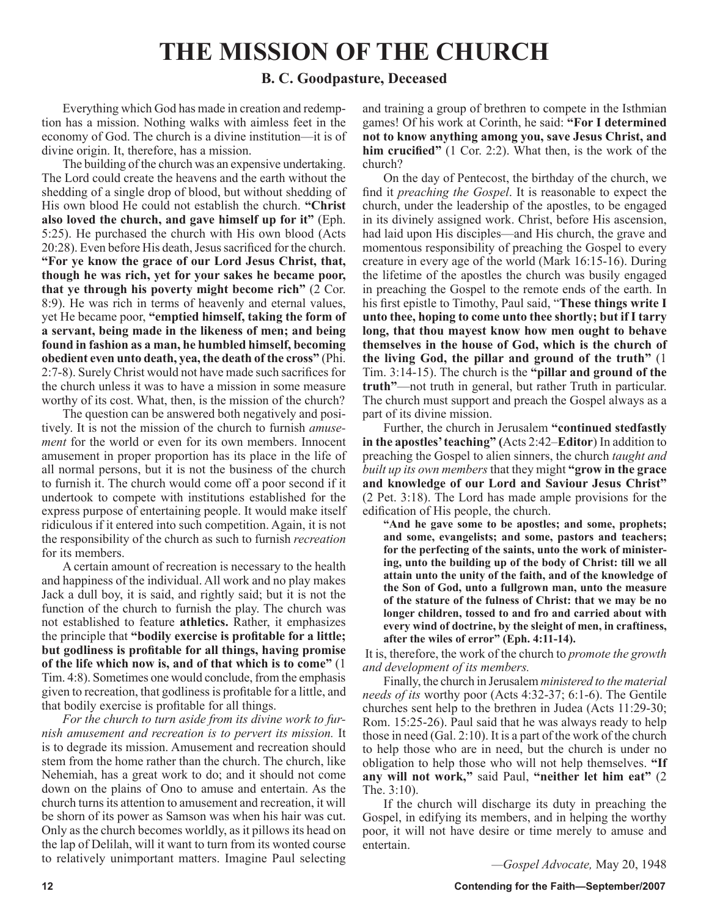# **THE MISSION OF THE CHURCH**

#### **B. C. Goodpasture, Deceased**

Everything which God has made in creation and redemption has a mission. Nothing walks with aimless feet in the economy of God. The church is a divine institution—it is of divine origin. It, therefore, has a mission.

The building of the church was an expensive undertaking. The Lord could create the heavens and the earth without the shedding of a single drop of blood, but without shedding of His own blood He could not establish the church. **"Christ also loved the church, and gave himself up for it"** (Eph. 5:25). He purchased the church with His own blood (Acts 20:28). Even before His death, Jesus sacrificed for the church. **"For ye know the grace of our Lord Jesus Christ, that, though he was rich, yet for your sakes he became poor, that ye through his poverty might become rich"** (2 Cor. 8:9). He was rich in terms of heavenly and eternal values, yet He became poor, **"emptied himself, taking the form of a servant, being made in the likeness of men; and being found in fashion as a man, he humbled himself, becoming obedient even unto death, yea, the death of the cross"** (Phi. 2:7-8). Surely Christ would not have made such sacrifices for the church unless it was to have a mission in some measure worthy of its cost. What, then, is the mission of the church?

The question can be answered both negatively and positively. It is not the mission of the church to furnish *amusement* for the world or even for its own members. Innocent amusement in proper proportion has its place in the life of all normal persons, but it is not the business of the church to furnish it. The church would come off a poor second if it undertook to compete with institutions established for the express purpose of entertaining people. It would make itself ridiculous if it entered into such competition. Again, it is not the responsibility of the church as such to furnish *recreation* for its members.

A certain amount of recreation is necessary to the health and happiness of the individual. All work and no play makes Jack a dull boy, it is said, and rightly said; but it is not the function of the church to furnish the play. The church was not established to feature **athletics.** Rather, it emphasizes the principle that **"bodily exercise is profitable for a little; but godliness is profitable for all things, having promise of the life which now is, and of that which is to come"** (1 Tim. 4:8). Sometimes one would conclude, from the emphasis given to recreation, that godliness is profitable for a little, and that bodily exercise is profitable for all things.

*For the church to turn aside from its divine work to furnish amusement and recreation is to pervert its mission.* It is to degrade its mission. Amusement and recreation should stem from the home rather than the church. The church, like Nehemiah, has a great work to do; and it should not come down on the plains of Ono to amuse and entertain. As the church turns its attention to amusement and recreation, it will be shorn of its power as Samson was when his hair was cut. Only as the church becomes worldly, as it pillows its head on the lap of Delilah, will it want to turn from its wonted course to relatively unimportant matters. Imagine Paul selecting and training a group of brethren to compete in the Isthmian games! Of his work at Corinth, he said: **"For I determined not to know anything among you, save Jesus Christ, and him crucified"** (1 Cor. 2:2). What then, is the work of the church?

On the day of Pentecost, the birthday of the church, we find it *preaching the Gospel*. It is reasonable to expect the church, under the leadership of the apostles, to be engaged in its divinely assigned work. Christ, before His ascension, had laid upon His disciples—and His church, the grave and momentous responsibility of preaching the Gospel to every creature in every age of the world (Mark 16:15-16). During the lifetime of the apostles the church was busily engaged in preaching the Gospel to the remote ends of the earth. In his first epistle to Timothy, Paul said, "**These things write I unto thee, hoping to come unto thee shortly; but if I tarry long, that thou mayest know how men ought to behave themselves in the house of God, which is the church of the living God, the pillar and ground of the truth"** (1 Tim. 3:14-15). The church is the **"pillar and ground of the truth"**—not truth in general, but rather Truth in particular. The church must support and preach the Gospel always as a part of its divine mission.

Further, the church in Jerusalem **"continued stedfastly in the apostles' teaching" (**Acts 2:42–**Editor**) In addition to preaching the Gospel to alien sinners, the church *taught and built up its own members* that they might **"grow in the grace and knowledge of our Lord and Saviour Jesus Christ"** (2 Pet. 3:18). The Lord has made ample provisions for the edification of His people, the church.

**"And he gave some to be apostles; and some, prophets; and some, evangelists; and some, pastors and teachers; for the perfecting of the saints, unto the work of ministering, unto the building up of the body of Christ: till we all attain unto the unity of the faith, and of the knowledge of the Son of God, unto a fullgrown man, unto the measure of the stature of the fulness of Christ: that we may be no longer children, tossed to and fro and carried about with every wind of doctrine, by the sleight of men, in craftiness, after the wiles of error" (Eph. 4:11-14).**

It is, therefore, the work of the church to *promote the growth and development of its members.*

Finally, the church in Jerusalem *ministered to the material needs of its* worthy poor (Acts 4:32-37; 6:1-6). The Gentile churches sent help to the brethren in Judea (Acts 11:29-30; Rom. 15:25-26). Paul said that he was always ready to help those in need (Gal. 2:10). It is a part of the work of the church to help those who are in need, but the church is under no obligation to help those who will not help themselves. **"If any will not work,"** said Paul, **"neither let him eat"** (2 The. 3:10).

If the church will discharge its duty in preaching the Gospel, in edifying its members, and in helping the worthy poor, it will not have desire or time merely to amuse and entertain.

*—Gospel Advocate,* May 20, 1948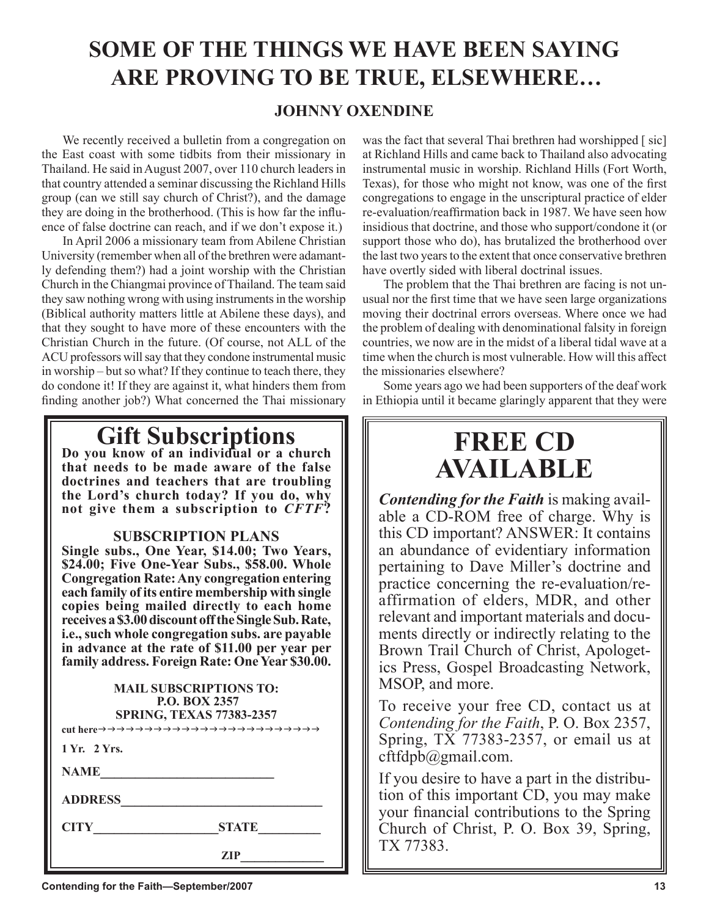# **SOME OF THE THINGS WE HAVE BEEN SAYING ARE PROVING TO BE TRUE, ELSEWHERE…**

### **JOHNNY OXENDINE**

We recently received a bulletin from a congregation on the East coast with some tidbits from their missionary in Thailand. He said in August 2007, over 110 church leaders in that country attended a seminar discussing the Richland Hills group (can we still say church of Christ?), and the damage they are doing in the brotherhood. (This is how far the influence of false doctrine can reach, and if we don't expose it.)

In April 2006 a missionary team from Abilene Christian University (remember when all of the brethren were adamantly defending them?) had a joint worship with the Christian Church in the Chiangmai province of Thailand. The team said they saw nothing wrong with using instruments in the worship (Biblical authority matters little at Abilene these days), and that they sought to have more of these encounters with the Christian Church in the future. (Of course, not ALL of the ACU professors will say that they condone instrumental music in worship – but so what? If they continue to teach there, they do condone it! If they are against it, what hinders them from finding another job?) What concerned the Thai missionary

# **Gift Subscriptions Do you know of an individual or a church**

**that needs to be made aware of the false doctrines and teachers that are troubling the Lord's church today? If you do, why not give them a subscription to** *CFTF***?**

#### **SUBSCRIPTION PLANS**

**Single subs., One Year, \$14.00; Two Years, \$24.00; Five One-Year Subs., \$58.00. Whole Congregation Rate: Any congregation entering each family of its entire membership with single copies being mailed directly to each home receives a \$3.00 discount off the Single Sub. Rate, i.e., such whole congregation subs. are payable in advance at the rate of \$11.00 per year per family address. Foreign Rate: One Year \$30.00.**

| <b>MAIL SUBSCRIPTIONS TO:</b><br><b>P.O. BOX 2357</b><br><b>SPRING, TEXAS 77383-2357</b> |
|------------------------------------------------------------------------------------------|
| 1 Yr. 2 Yrs.                                                                             |
| <b>NAME</b>                                                                              |
| <b>ADDRESS</b>                                                                           |
| <b>CITY</b><br><b>STATE</b>                                                              |
| ZIP                                                                                      |

was the fact that several Thai brethren had worshipped [sic] at Richland Hills and came back to Thailand also advocating instrumental music in worship. Richland Hills (Fort Worth, Texas), for those who might not know, was one of the first congregations to engage in the unscriptural practice of elder re-evaluation/reaffirmation back in 1987. We have seen how insidious that doctrine, and those who support/condone it (or support those who do), has brutalized the brotherhood over the last two years to the extent that once conservative brethren have overtly sided with liberal doctrinal issues.

The problem that the Thai brethren are facing is not unusual nor the first time that we have seen large organizations moving their doctrinal errors overseas. Where once we had the problem of dealing with denominational falsity in foreign countries, we now are in the midst of a liberal tidal wave at a time when the church is most vulnerable. How will this affect the missionaries elsewhere?

Some years ago we had been supporters of the deaf work in Ethiopia until it became glaringly apparent that they were

# **FREE CD AVAILABLE**

*Contending for the Faith* is making available a CD-ROM free of charge. Why is this CD important? ANSWER: It contains an abundance of evidentiary information pertaining to Dave Miller's doctrine and practice concerning the re-evaluation/reaffirmation of elders, MDR, and other relevant and important materials and documents directly or indirectly relating to the Brown Trail Church of Christ, Apologetics Press, Gospel Broadcasting Network, MSOP, and more.

To receive your free CD, contact us at *Contending for the Faith*, P. O. Box 2357, Spring,  $\overline{TX}$  77383-2357, or email us at cftfdpb@gmail.com.

If you desire to have a part in the distribution of this important CD, you may make your financial contributions to the Spring Church of Christ, P. O. Box 39, Spring, TX 77383.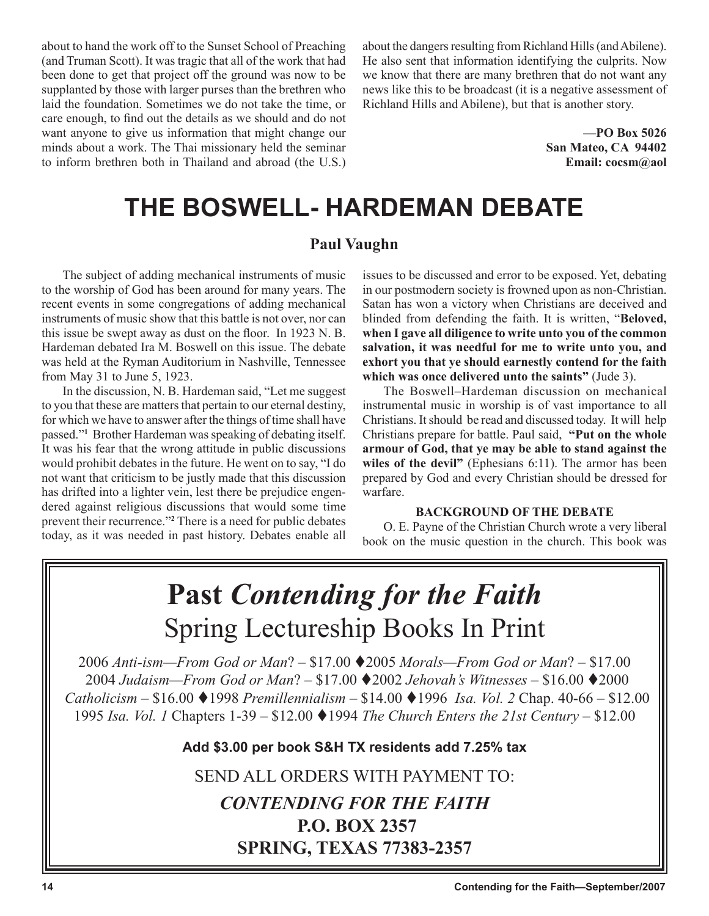about to hand the work off to the Sunset School of Preaching (and Truman Scott). It was tragic that all of the work that had been done to get that project off the ground was now to be supplanted by those with larger purses than the brethren who laid the foundation. Sometimes we do not take the time, or care enough, to find out the details as we should and do not want anyone to give us information that might change our minds about a work. The Thai missionary held the seminar to inform brethren both in Thailand and abroad (the U.S.) about the dangers resulting from Richland Hills (and Abilene). He also sent that information identifying the culprits. Now we know that there are many brethren that do not want any news like this to be broadcast (it is a negative assessment of Richland Hills and Abilene), but that is another story.

> **—PO Box 5026 San Mateo, CA 94402 Email: cocsm@aol**

# **THE BOSWELL- HARDEMAN DEBATE**

### **Paul Vaughn**

The subject of adding mechanical instruments of music to the worship of God has been around for many years. The recent events in some congregations of adding mechanical instruments of music show that this battle is not over, nor can this issue be swept away as dust on the floor. In 1923 N. B. Hardeman debated Ira M. Boswell on this issue. The debate was held at the Ryman Auditorium in Nashville, Tennessee from May 31 to June 5, 1923.

In the discussion, N. B. Hardeman said, "Let me suggest to you that these are matters that pertain to our eternal destiny, for which we have to answer after the things of time shall have passed."**<sup>1</sup>** Brother Hardeman was speaking of debating itself. It was his fear that the wrong attitude in public discussions would prohibit debates in the future. He went on to say, "I do not want that criticism to be justly made that this discussion has drifted into a lighter vein, lest there be prejudice engendered against religious discussions that would some time prevent their recurrence."**<sup>2</sup>** There is a need for public debates today, as it was needed in past history. Debates enable all

issues to be discussed and error to be exposed. Yet, debating in our postmodern society is frowned upon as non-Christian. Satan has won a victory when Christians are deceived and blinded from defending the faith. It is written, "**Beloved, when I gave all diligence to write unto you of the common salvation, it was needful for me to write unto you, and exhort you that ye should earnestly contend for the faith which was once delivered unto the saints"** (Jude 3).

The Boswell–Hardeman discussion on mechanical instrumental music in worship is of vast importance to all Christians. It should be read and discussed today. It will help Christians prepare for battle. Paul said, **"Put on the whole armour of God, that ye may be able to stand against the wiles of the devil"** (Ephesians 6:11). The armor has been prepared by God and every Christian should be dressed for warfare.

#### **BACKGROUND OF THE DEBATE**

O. E. Payne of the Christian Church wrote a very liberal book on the music question in the church. This book was

# **Past** *Contending for the Faith* Spring Lectureship Books In Print

*Anti-ism—From God or Man*? – \$17.00 2005 *Morals—From God or Man*? – \$17.00 *Judaism—From God or Man*? – \$17.00 2002 *Jehovah's Witnesses –* \$16.00 2000 *Catholicism –* \$16.00 1998 *Premillennialism –* \$14.00 1996 *Isa. Vol. 2* Chap. 40-66 – \$12.00 *Isa. Vol. 1* Chapters 1-39 – \$12.00 1994 *The Church Enters the 21st Century* – \$12.00

**Add \$3.00 per book S&H TX residents add 7.25% tax**

SEND ALL ORDERS WITH PAYMENT TO:

### *CONTENDING FOR THE FAITH* **P.O. BOX 2357 SPRING, TEXAS 77383-2357**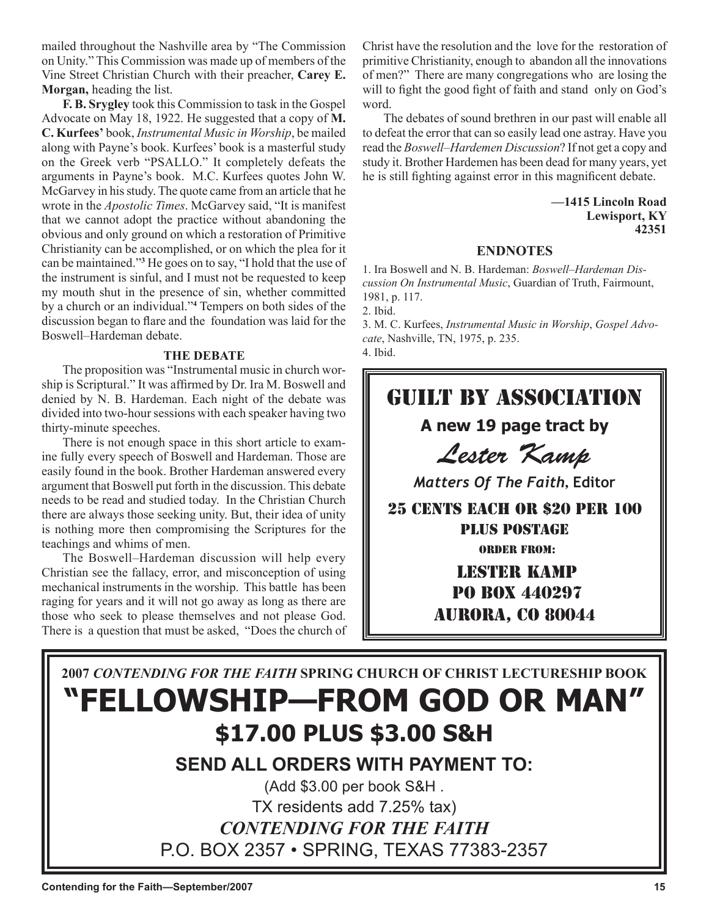mailed throughout the Nashville area by "The Commission on Unity." This Commission was made up of members of the Vine Street Christian Church with their preacher, **Carey E. Morgan,** heading the list.

**F. B. Srygley** took this Commission to task in the Gospel Advocate on May 18, 1922. He suggested that a copy of **M. C. Kurfees'** book, *Instrumental Music in Worship*, be mailed along with Payne's book. Kurfees' book is a masterful study on the Greek verb "PSALLO." It completely defeats the arguments in Payne's book. M.C. Kurfees quotes John W. McGarvey in his study. The quote came from an article that he wrote in the *Apostolic Times*. McGarvey said, "It is manifest that we cannot adopt the practice without abandoning the obvious and only ground on which a restoration of Primitive Christianity can be accomplished, or on which the plea for it can be maintained."**<sup>3</sup>** He goes on to say, "I hold that the use of the instrument is sinful, and I must not be requested to keep my mouth shut in the presence of sin, whether committed by a church or an individual."**<sup>4</sup>** Tempers on both sides of the discussion began to flare and the foundation was laid for the Boswell–Hardeman debate.

#### **THE DEBATE**

The proposition was "Instrumental music in church worship is Scriptural." It was affirmed by Dr. Ira M. Boswell and denied by N. B. Hardeman. Each night of the debate was divided into two-hour sessions with each speaker having two thirty-minute speeches.

There is not enough space in this short article to examine fully every speech of Boswell and Hardeman. Those are easily found in the book. Brother Hardeman answered every argument that Boswell put forth in the discussion. This debate needs to be read and studied today. In the Christian Church there are always those seeking unity. But, their idea of unity is nothing more then compromising the Scriptures for the teachings and whims of men.

The Boswell–Hardeman discussion will help every Christian see the fallacy, error, and misconception of using mechanical instruments in the worship. This battle has been raging for years and it will not go away as long as there are those who seek to please themselves and not please God. There is a question that must be asked, "Does the church of Christ have the resolution and the love for the restoration of primitive Christianity, enough to abandon all the innovations of men?" There are many congregations who are losing the will to fight the good fight of faith and stand only on God's word.

The debates of sound brethren in our past will enable all to defeat the error that can so easily lead one astray. Have you read the *Boswell–Hardemen Discussion*? If not get a copy and study it. Brother Hardemen has been dead for many years, yet he is still fighting against error in this magnificent debate.

> **—1415 Lincoln Road Lewisport, KY 42351**

#### **ENDNOTES**

1. Ira Boswell and N. B. Hardeman: *Boswell–Hardeman Discussion On Instrumental Music*, Guardian of Truth, Fairmount, 1981, p. 117.

2. Ibid.

3. M. C. Kurfees, *Instrumental Music in Worship*, *Gospel Advocate*, Nashville, TN, 1975, p. 235. 4. Ibid.

# Guilt By Association

### **A new 19 page tract by**

Lester Kamp

*Matters Of The Faith*, **Editor**

25 CENTS EACH OR \$20 PER 100 PLUS POSTAGE ORDER FROM:

> Lester Kamp PO Box 440297 Aurora, CO 80044

# **2007** *CONTENDING FOR THE FAITH* **SPRING CHURCH OF CHRIST LECTURESHIP BOOK "FELLOWSHIP—FROM GOD OR MAN" \$17.00 PLUS \$3.00 S&H**

### **SEND ALL ORDERS WITH PAYMENT TO:**

(Add \$3.00 per book S&H . TX residents add 7.25% tax) *CONTENDING FOR THE FAITH* P.O. BOX 2357 • SPRING, TEXAS 77383-2357